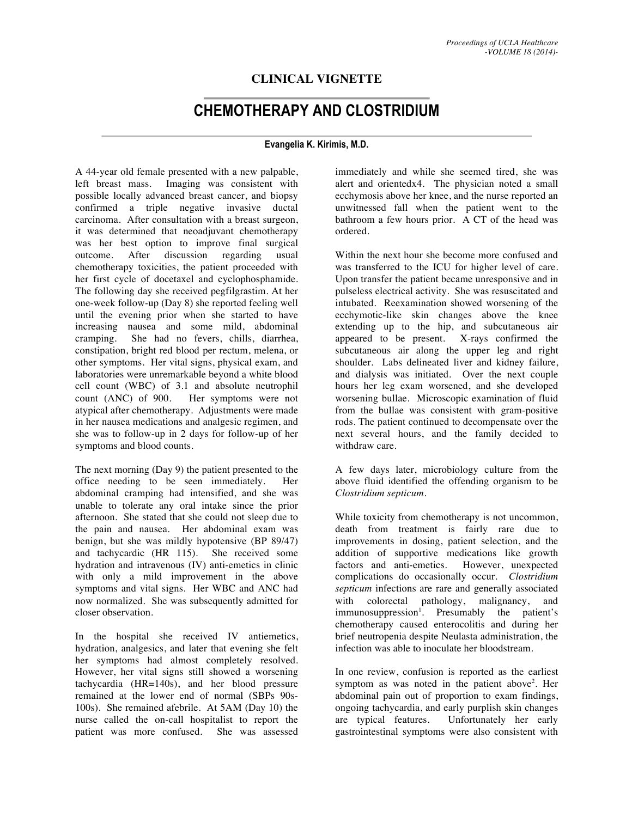## **CLINICAL VIGNETTE**

## **CHEMOTHERAPY AND CLOSTRIDIUM**

## **Evangelia K. Kirimis, M.D.**

A 44-year old female presented with a new palpable, left breast mass. Imaging was consistent with possible locally advanced breast cancer, and biopsy confirmed a triple negative invasive ductal carcinoma. After consultation with a breast surgeon, it was determined that neoadjuvant chemotherapy was her best option to improve final surgical outcome. After discussion regarding usual chemotherapy toxicities, the patient proceeded with her first cycle of docetaxel and cyclophosphamide. The following day she received pegfilgrastim. At her one-week follow-up (Day 8) she reported feeling well until the evening prior when she started to have increasing nausea and some mild, abdominal cramping. She had no fevers, chills, diarrhea, constipation, bright red blood per rectum, melena, or other symptoms. Her vital signs, physical exam, and laboratories were unremarkable beyond a white blood cell count (WBC) of 3.1 and absolute neutrophil count (ANC) of 900. Her symptoms were not atypical after chemotherapy. Adjustments were made in her nausea medications and analgesic regimen, and she was to follow-up in 2 days for follow-up of her symptoms and blood counts.

The next morning (Day 9) the patient presented to the office needing to be seen immediately. Her abdominal cramping had intensified, and she was unable to tolerate any oral intake since the prior afternoon. She stated that she could not sleep due to the pain and nausea. Her abdominal exam was benign, but she was mildly hypotensive (BP 89/47) and tachycardic (HR 115). She received some hydration and intravenous (IV) anti-emetics in clinic with only a mild improvement in the above symptoms and vital signs. Her WBC and ANC had now normalized. She was subsequently admitted for closer observation.

In the hospital she received IV antiemetics, hydration, analgesics, and later that evening she felt her symptoms had almost completely resolved. However, her vital signs still showed a worsening tachycardia (HR=140s), and her blood pressure remained at the lower end of normal (SBPs 90s-100s). She remained afebrile. At 5AM (Day 10) the nurse called the on-call hospitalist to report the patient was more confused. She was assessed immediately and while she seemed tired, she was alert and orientedx4. The physician noted a small ecchymosis above her knee, and the nurse reported an unwitnessed fall when the patient went to the bathroom a few hours prior. A CT of the head was ordered.

Within the next hour she become more confused and was transferred to the ICU for higher level of care. Upon transfer the patient became unresponsive and in pulseless electrical activity. She was resuscitated and intubated. Reexamination showed worsening of the ecchymotic-like skin changes above the knee extending up to the hip, and subcutaneous air appeared to be present. X-rays confirmed the subcutaneous air along the upper leg and right shoulder. Labs delineated liver and kidney failure, and dialysis was initiated. Over the next couple hours her leg exam worsened, and she developed worsening bullae. Microscopic examination of fluid from the bullae was consistent with gram-positive rods. The patient continued to decompensate over the next several hours, and the family decided to withdraw care.

A few days later, microbiology culture from the above fluid identified the offending organism to be *Clostridium septicum*.

While toxicity from chemotherapy is not uncommon, death from treatment is fairly rare due to improvements in dosing, patient selection, and the addition of supportive medications like growth factors and anti-emetics. However, unexpected complications do occasionally occur. *Clostridium septicum* infections are rare and generally associated with colorectal pathology, malignancy, and immunosuppression<sup>1</sup>. Presumably the patient's chemotherapy caused enterocolitis and during her brief neutropenia despite Neulasta administration, the infection was able to inoculate her bloodstream.

In one review, confusion is reported as the earliest symptom as was noted in the patient above<sup>2</sup>. Her abdominal pain out of proportion to exam findings, ongoing tachycardia, and early purplish skin changes are typical features. Unfortunately her early gastrointestinal symptoms were also consistent with